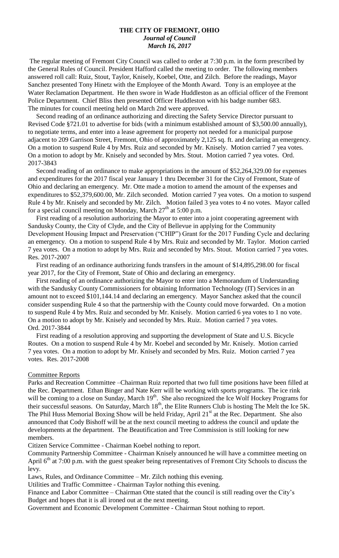#### **THE CITY OF FREMONT, OHIO** *Journal of Council March 16, 2017*

The regular meeting of Fremont City Council was called to order at 7:30 p.m. in the form prescribed by the General Rules of Council. President Hafford called the meeting to order. The following members answered roll call: Ruiz, Stout, Taylor, Knisely, Koebel, Otte, and Zilch. Before the readings, Mayor Sanchez presented Tony Hinetz with the Employee of the Month Award. Tony is an employee at the Water Reclamation Department. He then swore in Wade Huddleston as an official officer of the Fremont Police Department. Chief Bliss then presented Officer Huddleston with his badge number 683. The minutes for council meeting held on March 2nd were approved.

 Second reading of an ordinance authorizing and directing the Safety Service Director pursuant to Revised Code §721.01 to advertise for bids (with a minimum established amount of \$3,500.00 annually), to negotiate terms, and enter into a lease agreement for property not needed for a municipal purpose adjacent to 209 Garrison Street, Fremont, Ohio of approximately 2,125 sq. ft. and declaring an emergency. On a motion to suspend Rule 4 by Mrs. Ruiz and seconded by Mr. Knisely. Motion carried 7 yea votes. On a motion to adopt by Mr. Knisely and seconded by Mrs. Stout. Motion carried 7 yea votes. Ord. 2017-3843

 Second reading of an ordinance to make appropriations in the amount of \$52,264,329.00 for expenses and expenditures for the 2017 fiscal year January 1 thru December 31 for the City of Fremont, State of Ohio and declaring an emergency. Mr. Otte made a motion to amend the amount of the expenses and expenditures to \$52,379,600.00, Mr. Zilch seconded. Motion carried 7 yea votes. On a motion to suspend Rule 4 by Mr. Knisely and seconded by Mr. Zilch. Motion failed 3 yea votes to 4 no votes. Mayor called for a special council meeting on Monday, March  $27<sup>th</sup>$  at 5:00 p.m.

 First reading of a resolution authorizing the Mayor to enter into a joint cooperating agreement with Sandusky County, the City of Clyde, and the City of Bellevue in applying for the Community Development Housing Impact and Preservation ("CHIP") Grant for the 2017 Funding Cycle and declaring an emergency. On a motion to suspend Rule 4 by Mrs. Ruiz and seconded by Mr. Taylor. Motion carried 7 yea votes. On a motion to adopt by Mrs. Ruiz and seconded by Mrs. Stout. Motion carried 7 yea votes. Res. 2017-2007

 First reading of an ordinance authorizing funds transfers in the amount of \$14,895,298.00 for fiscal year 2017, for the City of Fremont, State of Ohio and declaring an emergency.

 First reading of an ordinance authorizing the Mayor to enter into a Memorandum of Understanding with the Sandusky County Commissioners for obtaining Information Technology (IT) Services in an amount not to exceed \$101,144.14 and declaring an emergency. Mayor Sanchez asked that the council consider suspending Rule 4 so that the partnership with the County could move forwarded. On a motion to suspend Rule 4 by Mrs. Ruiz and seconded by Mr. Knisely. Motion carried 6 yea votes to 1 no vote. On a motion to adopt by Mr. Knisely and seconded by Mrs. Ruiz. Motion carried 7 yea votes. Ord. 2017-3844

 First reading of a resolution approving and supporting the development of State and U.S. Bicycle Routes. On a motion to suspend Rule 4 by Mr. Koebel and seconded by Mr. Knisely. Motion carried 7 yea votes. On a motion to adopt by Mr. Knisely and seconded by Mrs. Ruiz. Motion carried 7 yea votes. Res. 2017-2008

#### Committee Reports

Parks and Recreation Committee –Chairman Ruiz reported that two full time positions have been filled at the Rec. Department. Ethan Binger and Nate Kerr will be working with sports programs. The ice rink will be coming to a close on Sunday, March 19<sup>th</sup>. She also recognized the Ice Wolf Hockey Programs for their successful seasons. On Saturday, March 18<sup>th</sup>, the Elite Runners Club is hosting The Melt the Ice 5K. The Phil Huss Memorial Boxing Show will be held Friday, April 21<sup>st</sup> at the Rec. Department. She also announced that Cody Bishoff will be at the next council meeting to address the council and update the developments at the department. The Beautification and Tree Commission is still looking for new members.

Citizen Service Committee - Chairman Koebel nothing to report.

Community Partnership Committee - Chairman Knisely announced he will have a committee meeting on April  $6<sup>th</sup>$  at 7:00 p.m. with the guest speaker being representatives of Fremont City Schools to discuss the levy.

Laws, Rules, and Ordinance Committee – Mr. Zilch nothing this evening.

Utilities and Traffic Committee - Chairman Taylor nothing this evening.

Finance and Labor Committee – Chairman Otte stated that the council is still reading over the City's Budget and hopes that it is all ironed out at the next meeting.

Government and Economic Development Committee - Chairman Stout nothing to report.